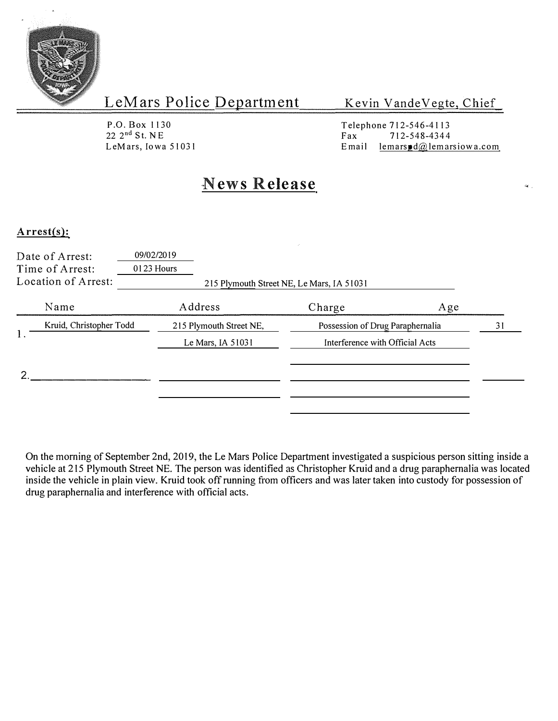

### Kevin Vande Vegte, Chief

P.O. Box 1130  $22 \t2<sup>nd</sup>$  St. NE LeMars, Iowa 51031 Telephone 712-546-4113<br>Fax 712-548-4344 Fax  $712-548-4344$ <br>Email lemars d $\omega$ lemar lemars  $\mathbf{d}(\mathbf{a})$  lemarsiow a.com

 $\mathbf{R}^{\mathrm{c}}$  .

# **News Release**

### **Arrest(s):**

| Date of Arrest:<br>Time of Arrest:<br>Location of Arrest: | 09/02/2019<br>0123 Hours                       | 215 Plymouth Street NE, Le Mars, IA 51031                           |    |
|-----------------------------------------------------------|------------------------------------------------|---------------------------------------------------------------------|----|
| Name                                                      | Address                                        | Charge<br>Age                                                       |    |
| Kruid, Christopher Todd                                   | 215 Plymouth Street NE,<br>Le Mars, IA $51031$ | Possession of Drug Paraphernalia<br>Interference with Official Acts | 31 |
|                                                           |                                                |                                                                     |    |

On the morning of September 2nd, 2019, the Le Mars Police Department investigated a suspicious person sitting inside a vehicle at 215 Plymouth Street NE. The person was identified as Christopher Kruid and a drug paraphernalia was located inside the vehicle in plain view. Kruid took off running from officers and was later taken into custody for possession of drug paraphernalia and interference with official acts.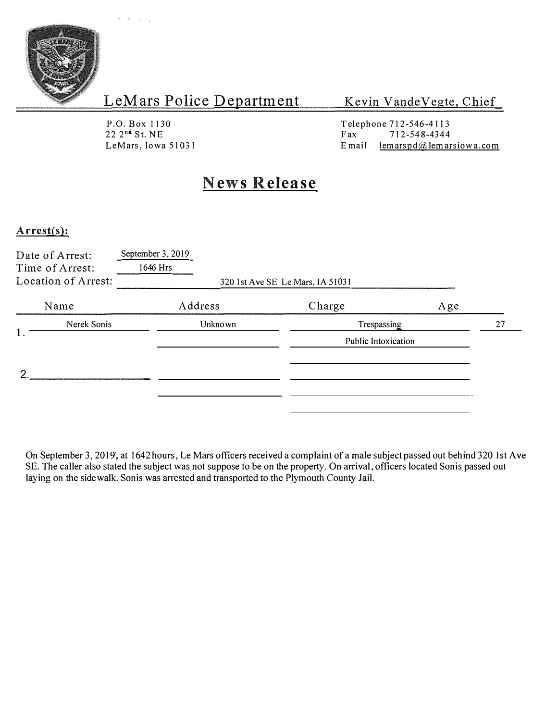

Kevin Vande Vegte, Chief

P.O. Box 1130  $22 \t2<sup>n</sup>$  St. NE<br>LeMars, Iowa 51031

Telephone 712-546-4113<br>Fax 712-548-4344 E mail  $l$ em arspd $\omega$ lem arsiow a.com

# **News Release**

#### **Arrest(s):**

|                   | Date of Arrest:<br>Time of Arrest:<br>Location of Arrest: | September 3, 2019<br>1646 Hrs | 320 1st Ave SE Le Mars, IA 51031 |     |
|-------------------|-----------------------------------------------------------|-------------------------------|----------------------------------|-----|
|                   | Name                                                      | Address                       | Charge                           | Age |
| Nerek Sonis<br>1. |                                                           | Unkno wn                      | Trespassing                      | 27  |
|                   |                                                           |                               | Public Intoxication              |     |
| Ω                 |                                                           |                               |                                  |     |
|                   |                                                           |                               |                                  |     |

On September 3, 2019, at 1642 hours, Le Mars officers received a complaint of a male subject passed out behind 320 l st Ave SE. The caller also stated the subject was not suppose to be on the property. On arrival, officers located Sonis passed out laying on the sidewalk. Sonis was arrested and transported to the Plymouth County Jail.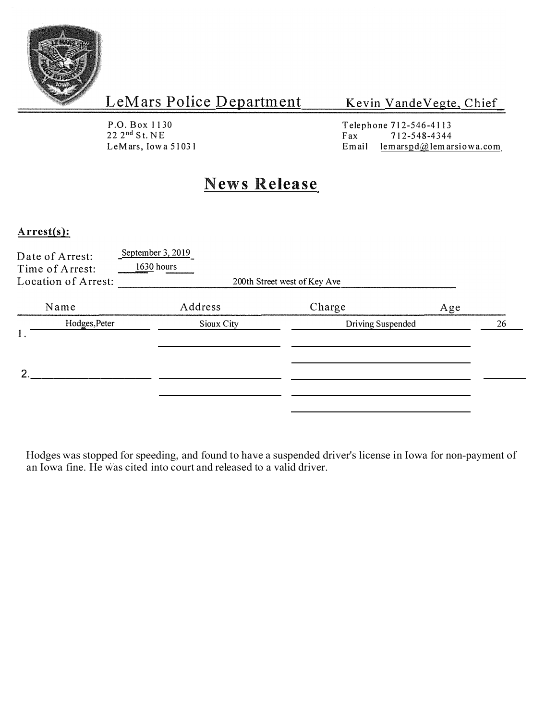

Kevin VandeVegte, Chief

P.O. Box 1130 22 2 nd S t. NE LeMars, Iowa 51031

Telephone 712-546-4113<br>Fax 712-548-4344 Fax  $712-548-4344$ <br>Email lemarspd $@$ lemar  $l$ emarspd $@$ lemarsiowa.com

# **News Release**

#### **Arrest(s):**

|    | Date of Arrest:<br>Time of Arrest:<br>Location of Arrest: | September $3, 2019$<br>$1630$ hours<br>200th Street west of Key Ave |  |                          |     |    |
|----|-----------------------------------------------------------|---------------------------------------------------------------------|--|--------------------------|-----|----|
|    | Name                                                      | Address                                                             |  | Charge                   | Age |    |
| 1. | Hodges, Peter                                             | Sioux City                                                          |  | <b>Driving Suspended</b> |     | 26 |
| Ω. |                                                           |                                                                     |  |                          |     |    |

Hodges was stopped for speeding, and found to have a suspended driver's license in Iowa for non-payment of an Iowa fine. He was cited into court and released to a valid driver.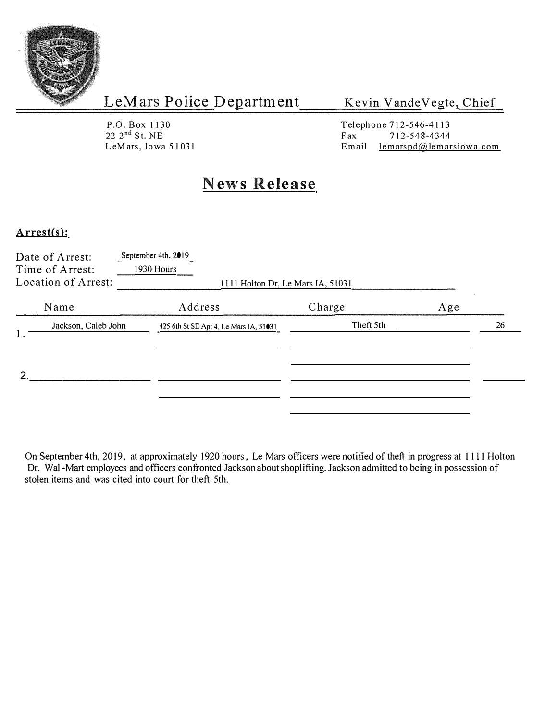

Kevin Vande Vegte, Chief

P.O. Box 1130  $22 \t2<sup>nd</sup>$  St. NE<br>LeMars, Iowa 51031

Telephone 712-546-4113<br>Fax 712-548-4344 Email lemarspd $\omega$ lemarsiow a.com

# **News Release**

### **Arrest(s):**

| Date of Arrest:<br>Time of Arrest:<br>Location of Arrest: | September 4th, 2019<br>1930 Hours      | 1111 Holton Dr, Le Mars IA, 51031 |     |    |
|-----------------------------------------------------------|----------------------------------------|-----------------------------------|-----|----|
| Name                                                      | Address                                | Charge                            | Age |    |
| Jackson, Caleb John<br>1.                                 | 425 6th St SE Apt 4, Le Mars IA, 51031 | Theft 5th                         |     | 26 |
| ≘                                                         |                                        |                                   |     |    |

On September 4th, 2019, at approximately 1920 hours, Le Mars officers were notified of theft in progress at 1111 Holton Dr. Wal-Mart employees and officers confronted Jackson about shoplifting. Jackson admitted to being in possession of stolen items and was cited into court for theft 5th.